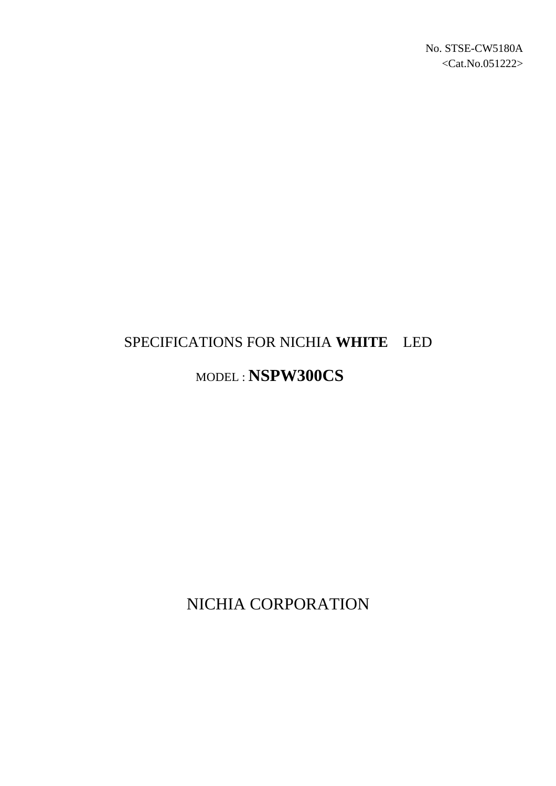# SPECIFICATIONS FOR NICHIA **WHITE** LED

## MODEL : **NSPW300CS**

NICHIA CORPORATION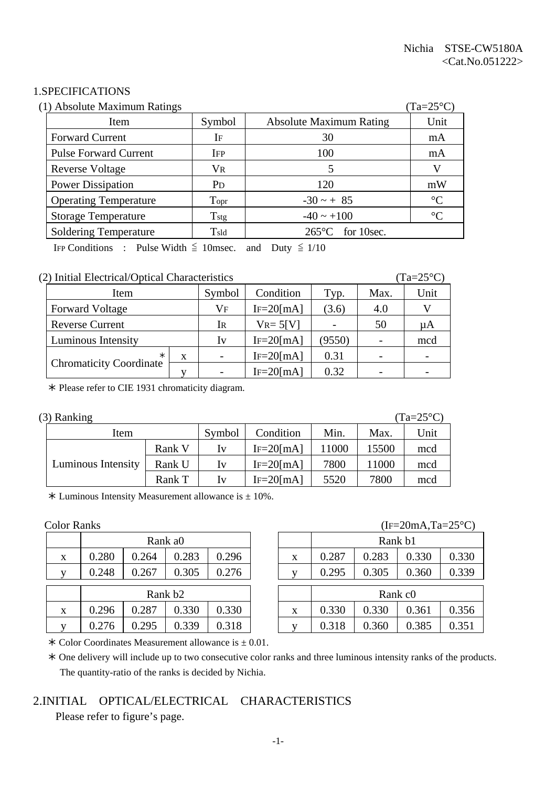#### 1.SPECIFICATIONS

| (1) Absolute Maximum Ratings |                       |                                |                 |  |  |
|------------------------------|-----------------------|--------------------------------|-----------------|--|--|
| Item                         | Symbol                | <b>Absolute Maximum Rating</b> | Unit            |  |  |
| <b>Forward Current</b>       | IF                    | 30                             | mA              |  |  |
| <b>Pulse Forward Current</b> | <b>IFP</b>            | 100                            | mA              |  |  |
| <b>Reverse Voltage</b>       | VR                    |                                | V               |  |  |
| <b>Power Dissipation</b>     | <b>P</b> <sub>D</sub> | 120                            | mW              |  |  |
| <b>Operating Temperature</b> | Topr                  | $-30 - + 85$                   | $\rm ^{\circ}C$ |  |  |
| <b>Storage Temperature</b>   | $T_{\rm stg}$         | $-40 \sim +100$                | $\rm ^{\circ}C$ |  |  |
| <b>Soldering Temperature</b> | $T_{\rm sld}$         | $265^{\circ}$ C for 10sec.     |                 |  |  |

IFP Conditions : Pulse Width  $\leq$  10msec. and Duty  $\leq$  1/10

#### (2) Initial Electrical/Optical Characteristics (Ta=25°C)

| Item                           | Symbol | Condition<br>Typ.        |                | Max. | Unit |  |
|--------------------------------|--------|--------------------------|----------------|------|------|--|
| <b>Forward Voltage</b>         | Vf     | $IF=20$ [mA]<br>(3.6)    |                | 4.0  |      |  |
| <b>Reverse Current</b>         | Ir     | $V_{R} = 5[V]$           |                | 50   | μA   |  |
| Luminous Intensity             | Iv     | $IF = 20$ [mA]           | (9550)         |      | mcd  |  |
| $\ast$                         | X      | $\overline{\phantom{0}}$ | $IF=20$ [mA]   | 0.31 |      |  |
| <b>Chromaticity Coordinate</b> |        |                          | $IF = 20$ [mA] | 0.32 |      |  |

½ Please refer to CIE 1931 chromaticity diagram.

| $(3)$ Ranking |  |
|---------------|--|
|---------------|--|

 $(Ta=25^{\circ}C)$ Item Symbol Condition Min. Max. Unit Rank V | Iv | IF=20[mA] | 11000 | 15500 | mcd Luminous Intensity | Rank U | Iv | IF=20[mA] | 7800 | 11000 | mcd Rank T | Iv | IF=20[mA] | 5520 | 7800 | mcd

 $*$  Luminous Intensity Measurement allowance is  $\pm$  10%.

|   | Rank a0             |       |       |       |  |              |       |       | Rank b1             |
|---|---------------------|-------|-------|-------|--|--------------|-------|-------|---------------------|
| X | 0.280               | 0.264 | 0.283 | 0.296 |  | X            | 0.287 | 0.283 | 0.3                 |
|   | 0.248               | 0.267 | 0.305 | 0.276 |  |              | 0.295 | 0.305 | 0.3                 |
|   | Rank b <sub>2</sub> |       |       |       |  |              |       |       | Rank c <sub>0</sub> |
| X | 0.296               | 0.287 | 0.330 | 0.330 |  | X            | 0.330 | 0.330 | 0.3                 |
| V | .276                | .295  | 0.339 | ).318 |  | $\mathbf{V}$ |       | 0.360 | $0.\overline{3}$    |

#### Color Ranks (IF=20mA,Ta=25°C)

|   |                     |       |       |       |  |   | $= 0.111123$ , $= 0.001123$ |       |       |       |
|---|---------------------|-------|-------|-------|--|---|-----------------------------|-------|-------|-------|
|   | Rank a0             |       |       |       |  |   | Rank b1                     |       |       |       |
| X | 0.280               | 0.264 | 0.283 | 0.296 |  | X | 0.287                       | 0.283 | 0.330 | 0.330 |
| V | 0.248               | 0.267 | 0.305 | 0.276 |  |   | 0.295                       | 0.305 | 0.360 | 0.339 |
|   |                     |       |       |       |  |   |                             |       |       |       |
|   | Rank b <sub>2</sub> |       |       |       |  |   | Rank c <sub>0</sub>         |       |       |       |
| X | 0.296               | 0.287 | 0.330 | 0.330 |  | X | 0.330                       | 0.330 | 0.361 | 0.356 |
| V | 0.276               | 0.295 | 0.339 | 0.318 |  |   | 0.318                       | 0.360 | 0.385 | 0.351 |
|   |                     |       |       |       |  |   |                             |       |       |       |

 $\ast$  Color Coordinates Measurement allowance is  $\pm$  0.01.

 ½ One delivery will include up to two consecutive color ranks and three luminous intensity ranks of the products. The quantity-ratio of the ranks is decided by Nichia.

#### 2.INITIAL OPTICAL/ELECTRICAL CHARACTERISTICS

Please refer to figure's page.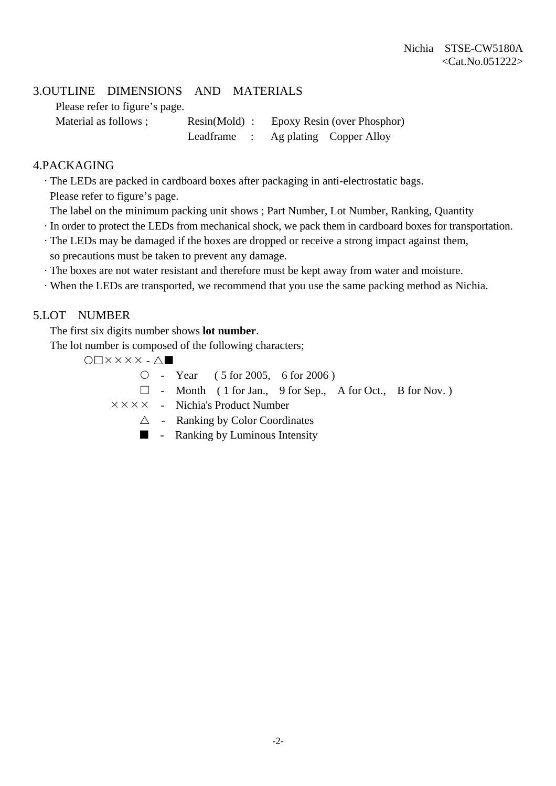#### 3.OUTLINE DIMENSIONS AND MATERIALS

Please refer to figure's page.

Material as follows ; Resin(Mold) : Epoxy Resin (over Phosphor) Leadframe : Ag plating Copper Alloy

#### 4.PACKAGING

· The LEDs are packed in cardboard boxes after packaging in anti-electrostatic bags.

Please refer to figure's page.

- The label on the minimum packing unit shows ; Part Number, Lot Number, Ranking, Quantity
- · In order to protect the LEDs from mechanical shock, we pack them in cardboard boxes for transportation.
- · The LEDs may be damaged if the boxes are dropped or receive a strong impact against them, so precautions must be taken to prevent any damage.
- · The boxes are not water resistant and therefore must be kept away from water and moisture.
- · When the LEDs are transported, we recommend that you use the same packing method as Nichia.

#### 5.LOT NUMBER

The first six digits number shows **lot number**.

The lot number is composed of the following characters;

 $O\Box$  $X$  $X$  $X$  $X$  $\cdot$  $\Delta$  $\blacksquare$ 

 ${\circ}$  - Year ( 5 for 2005, 6 for 2006)

 $\Box$  - Month ( 1 for Jan., 9 for Sep., A for Oct., B for Nov.)

 $\times \times \times \times$  - Nichia's Product Number

- $\triangle$  Ranking by Color Coordinates
- $\blacksquare$  Ranking by Luminous Intensity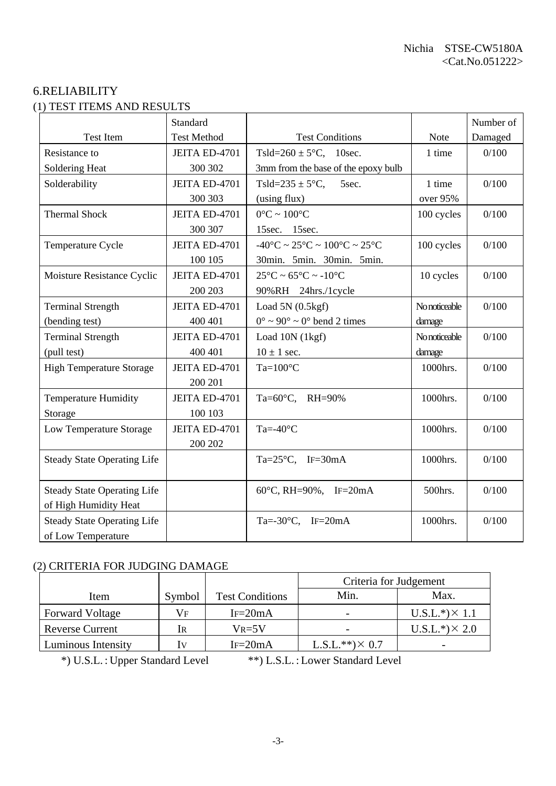#### 6.RELIABILITY (1) TEST ITEMS AND RESULTS

|                                    | Standard           |                                                                        |               | Number of |
|------------------------------------|--------------------|------------------------------------------------------------------------|---------------|-----------|
| <b>Test Item</b>                   | <b>Test Method</b> | <b>Test Conditions</b>                                                 | <b>Note</b>   | Damaged   |
| Resistance to                      | JEITA ED-4701      | Tsld=260 $\pm$ 5°C, 10sec.                                             | 1 time        | 0/100     |
| Soldering Heat                     | 300 302            | 3mm from the base of the epoxy bulb                                    |               |           |
| Solderability                      | JEITA ED-4701      | Tsld=235 $\pm$ 5°C,<br>5sec.                                           | 1 time        | 0/100     |
|                                    | 300 303            | (using flux)                                                           | over 95%      |           |
| <b>Thermal Shock</b>               | JEITA ED-4701      | $0^{\circ}$ C ~ 100 $^{\circ}$ C                                       | 100 cycles    | 0/100     |
|                                    | 300 307            | 15sec. 15sec.                                                          |               |           |
| Temperature Cycle                  | JEITA ED-4701      | $-40^{\circ}$ C ~ 25 $^{\circ}$ C ~ 100 $^{\circ}$ C ~ 25 $^{\circ}$ C | 100 cycles    | 0/100     |
|                                    | 100 105            | 30min. 5min. 30min. 5min.                                              |               |           |
| Moisture Resistance Cyclic         | JEITA ED-4701      | $25^{\circ}$ C ~ 65 $^{\circ}$ C ~ -10 $^{\circ}$ C                    | 10 cycles     | 0/100     |
|                                    | 200 203            | 90%RH 24hrs./1cycle                                                    |               |           |
| <b>Terminal Strength</b>           | JEITA ED-4701      | Load $5N(0.5kgf)$                                                      | No noticeable | 0/100     |
| (bending test)                     | 400 401            | $0^{\circ} \sim 90^{\circ} \sim 0^{\circ}$ bend 2 times                | damage        |           |
| <b>Terminal Strength</b>           | JEITA ED-4701      | Load 10N (1kgf)                                                        | No noticeable | 0/100     |
| (pull test)                        | 400 401            | $10 \pm 1$ sec.                                                        | damage        |           |
| <b>High Temperature Storage</b>    | JEITA ED-4701      | $Ta=100^{\circ}C$                                                      | 1000hrs.      | 0/100     |
|                                    | 200 201            |                                                                        |               |           |
| <b>Temperature Humidity</b>        | JEITA ED-4701      | Ta=60°C, RH=90%                                                        | 1000hrs.      | 0/100     |
| Storage                            | 100 103            |                                                                        |               |           |
| Low Temperature Storage            | JEITA ED-4701      | Ta=- $40^{\circ}$ C                                                    | 1000hrs.      | 0/100     |
|                                    | 200 202            |                                                                        |               |           |
| <b>Steady State Operating Life</b> |                    | Ta= $25^{\circ}$ C, IF= $30$ mA                                        | 1000hrs.      | 0/100     |
|                                    |                    |                                                                        |               |           |
| <b>Steady State Operating Life</b> |                    | 60°C, RH=90%, IF=20mA                                                  | 500hrs.       | 0/100     |
| of High Humidity Heat              |                    |                                                                        |               |           |
| <b>Steady State Operating Life</b> |                    | Ta=-30 $\degree$ C, IF=20mA                                            | 1000hrs.      | 0/100     |
| of Low Temperature                 |                    |                                                                        |               |           |

#### (2) CRITERIA FOR JUDGING DAMAGE

|                        |        |                        | Criteria for Judgement |                       |
|------------------------|--------|------------------------|------------------------|-----------------------|
| Item                   | Symbol | <b>Test Conditions</b> | Min.                   | Max.                  |
| <b>Forward Voltage</b> | Vf     | $IF=20mA$              |                        | $U.S.L.*) \times 1.1$ |
| <b>Reverse Current</b> | IR     | $V_{R=5}V$             |                        | $U.S.L.*) \times 2.0$ |
| Luminous Intensity     | Iv     | $IF=20mA$              | $L.S.L.**) \times 0.7$ |                       |

\*) U.S.L. : Upper Standard Level \*\*) L.S.L. : Lower Standard Level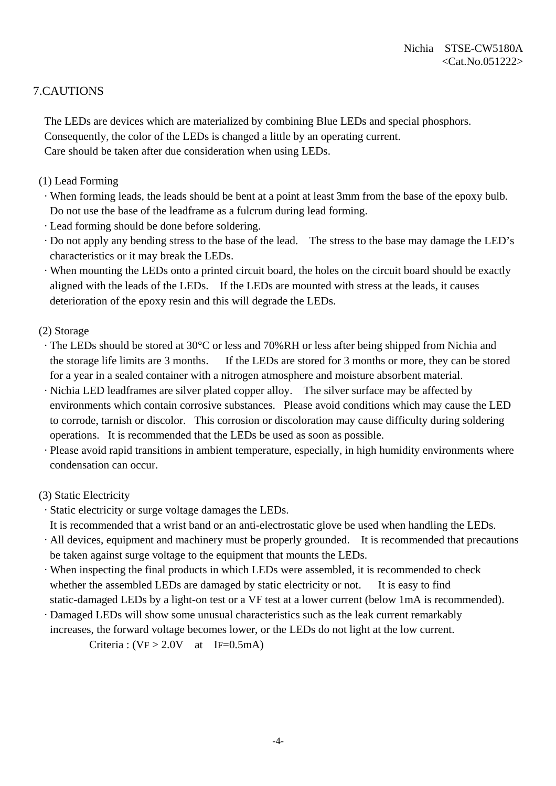### 7.CAUTIONS

 The LEDs are devices which are materialized by combining Blue LEDs and special phosphors. Consequently, the color of the LEDs is changed a little by an operating current. Care should be taken after due consideration when using LEDs.

- (1) Lead Forming
	- · When forming leads, the leads should be bent at a point at least 3mm from the base of the epoxy bulb. Do not use the base of the leadframe as a fulcrum during lead forming.
	- · Lead forming should be done before soldering.
- · Do not apply any bending stress to the base of the lead. The stress to the base may damage the LED's characteristics or it may break the LEDs.
- · When mounting the LEDs onto a printed circuit board, the holes on the circuit board should be exactly aligned with the leads of the LEDs. If the LEDs are mounted with stress at the leads, it causes deterioration of the epoxy resin and this will degrade the LEDs.
- (2) Storage
	- · The LEDs should be stored at 30°C or less and 70%RH or less after being shipped from Nichia and the storage life limits are 3 months. If the LEDs are stored for 3 months or more, they can be stored for a year in a sealed container with a nitrogen atmosphere and moisture absorbent material.
- · Nichia LED leadframes are silver plated copper alloy. The silver surface may be affected by environments which contain corrosive substances. Please avoid conditions which may cause the LED to corrode, tarnish or discolor. This corrosion or discoloration may cause difficulty during soldering operations. It is recommended that the LEDs be used as soon as possible.
- · Please avoid rapid transitions in ambient temperature, especially, in high humidity environments where condensation can occur.

#### (3) Static Electricity

- · Static electricity or surge voltage damages the LEDs.
- It is recommended that a wrist band or an anti-electrostatic glove be used when handling the LEDs.
- · All devices, equipment and machinery must be properly grounded. It is recommended that precautions be taken against surge voltage to the equipment that mounts the LEDs.
- · When inspecting the final products in which LEDs were assembled, it is recommended to check whether the assembled LEDs are damaged by static electricity or not. It is easy to find static-damaged LEDs by a light-on test or a VF test at a lower current (below 1mA is recommended).
- · Damaged LEDs will show some unusual characteristics such as the leak current remarkably increases, the forward voltage becomes lower, or the LEDs do not light at the low current.

Criteria :  $(VF > 2.0V$  at IF=0.5mA)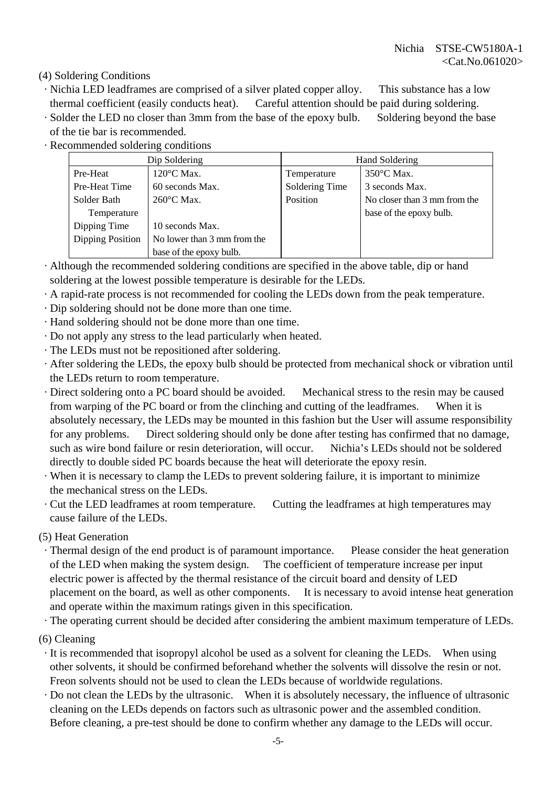(4) Soldering Conditions

- · Nichia LED leadframes are comprised of a silver plated copper alloy. This substance has a low thermal coefficient (easily conducts heat). Careful attention should be paid during soldering.
- · Solder the LED no closer than 3mm from the base of the epoxy bulb. Soldering beyond the base of the tie bar is recommended.
- · Recommended soldering conditions

|                  | Dip Soldering               | Hand Soldering |                              |  |
|------------------|-----------------------------|----------------|------------------------------|--|
| Pre-Heat         | $120^{\circ}$ C Max.        | Temperature    | $350^{\circ}$ C Max.         |  |
| Pre-Heat Time    | 60 seconds Max.             | Soldering Time | 3 seconds Max.               |  |
| Solder Bath      | 260°C Max.                  | Position       | No closer than 3 mm from the |  |
| Temperature      |                             |                | base of the epoxy bulb.      |  |
| Dipping Time     | 10 seconds Max.             |                |                              |  |
| Dipping Position | No lower than 3 mm from the |                |                              |  |
|                  | base of the epoxy bulb.     |                |                              |  |

- · Although the recommended soldering conditions are specified in the above table, dip or hand soldering at the lowest possible temperature is desirable for the LEDs.
- · A rapid-rate process is not recommended for cooling the LEDs down from the peak temperature.
- · Dip soldering should not be done more than one time.
- · Hand soldering should not be done more than one time.
- · Do not apply any stress to the lead particularly when heated.
- · The LEDs must not be repositioned after soldering.
- · After soldering the LEDs, the epoxy bulb should be protected from mechanical shock or vibration until the LEDs return to room temperature.
- · Direct soldering onto a PC board should be avoided. Mechanical stress to the resin may be caused from warping of the PC board or from the clinching and cutting of the leadframes. When it is absolutely necessary, the LEDs may be mounted in this fashion but the User will assume responsibility for any problems. Direct soldering should only be done after testing has confirmed that no damage, such as wire bond failure or resin deterioration, will occur. Nichia's LEDs should not be soldered directly to double sided PC boards because the heat will deteriorate the epoxy resin.
- · When it is necessary to clamp the LEDs to prevent soldering failure, it is important to minimize the mechanical stress on the LEDs.
- · Cut the LED leadframes at room temperature. Cutting the leadframes at high temperatures may cause failure of the LEDs.

(5) Heat Generation

 · Thermal design of the end product is of paramount importance. Please consider the heat generation of the LED when making the system design. The coefficient of temperature increase per input electric power is affected by the thermal resistance of the circuit board and density of LED placement on the board, as well as other components. It is necessary to avoid intense heat generation and operate within the maximum ratings given in this specification.

· The operating current should be decided after considering the ambient maximum temperature of LEDs.

- (6) Cleaning
	- · It is recommended that isopropyl alcohol be used as a solvent for cleaning the LEDs. When using other solvents, it should be confirmed beforehand whether the solvents will dissolve the resin or not. Freon solvents should not be used to clean the LEDs because of worldwide regulations.
- · Do not clean the LEDs by the ultrasonic. When it is absolutely necessary, the influence of ultrasonic cleaning on the LEDs depends on factors such as ultrasonic power and the assembled condition. Before cleaning, a pre-test should be done to confirm whether any damage to the LEDs will occur.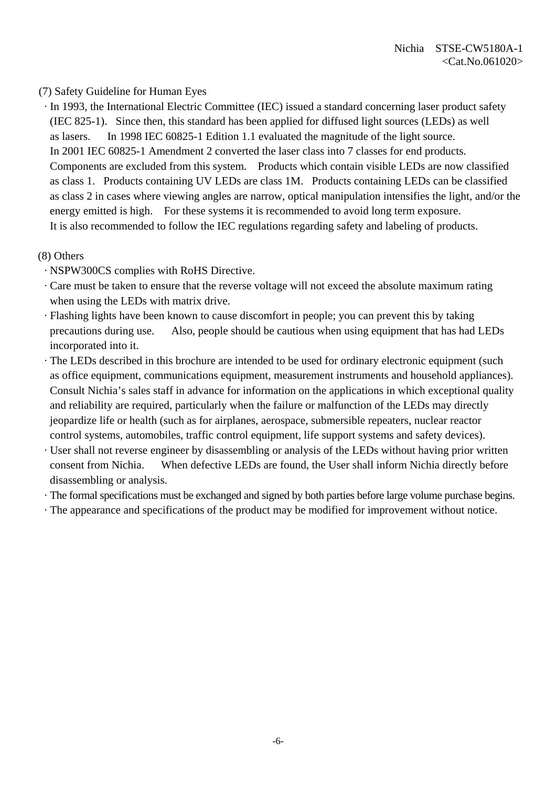#### (7) Safety Guideline for Human Eyes

 · In 1993, the International Electric Committee (IEC) issued a standard concerning laser product safety (IEC 825-1). Since then, this standard has been applied for diffused light sources (LEDs) as well as lasers. In 1998 IEC 60825-1 Edition 1.1 evaluated the magnitude of the light source. In 2001 IEC 60825-1 Amendment 2 converted the laser class into 7 classes for end products. Components are excluded from this system. Products which contain visible LEDs are now classified as class 1. Products containing UV LEDs are class 1M. Products containing LEDs can be classified as class 2 in cases where viewing angles are narrow, optical manipulation intensifies the light, and/or the energy emitted is high. For these systems it is recommended to avoid long term exposure. It is also recommended to follow the IEC regulations regarding safety and labeling of products.

#### (8) Others

- · NSPW300CS complies with RoHS Directive.
- · Care must be taken to ensure that the reverse voltage will not exceed the absolute maximum rating when using the LEDs with matrix drive.
- · Flashing lights have been known to cause discomfort in people; you can prevent this by taking precautions during use. Also, people should be cautious when using equipment that has had LEDs incorporated into it.
- · The LEDs described in this brochure are intended to be used for ordinary electronic equipment (such as office equipment, communications equipment, measurement instruments and household appliances). Consult Nichia's sales staff in advance for information on the applications in which exceptional quality and reliability are required, particularly when the failure or malfunction of the LEDs may directly jeopardize life or health (such as for airplanes, aerospace, submersible repeaters, nuclear reactor control systems, automobiles, traffic control equipment, life support systems and safety devices).
- · User shall not reverse engineer by disassembling or analysis of the LEDs without having prior written consent from Nichia. When defective LEDs are found, the User shall inform Nichia directly before disassembling or analysis.
- · The formal specifications must be exchanged and signed by both parties before large volume purchase begins.
- · The appearance and specifications of the product may be modified for improvement without notice.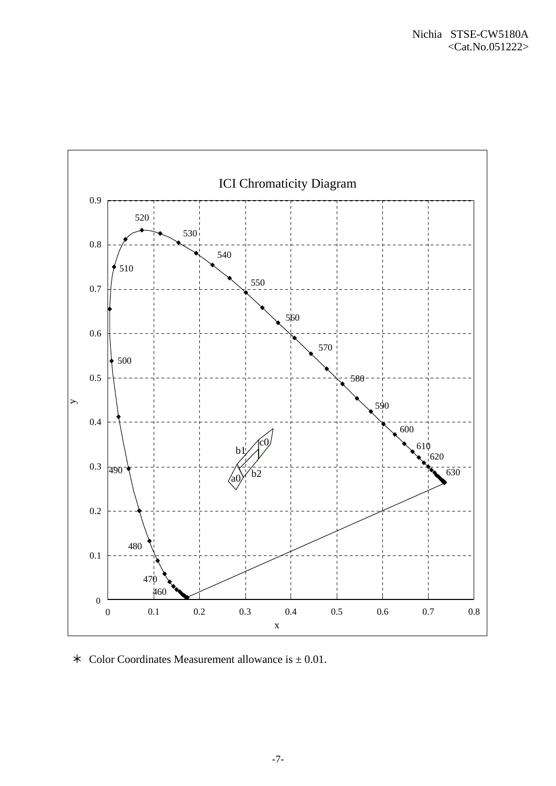

 $\star$  Color Coordinates Measurement allowance is  $\pm$  0.01.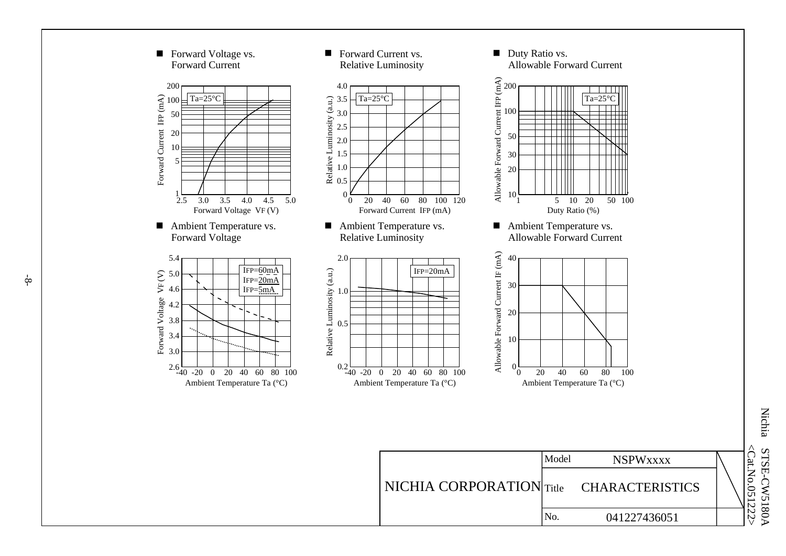

Nichia STSE-C W5180A <Cat.No. 051222 >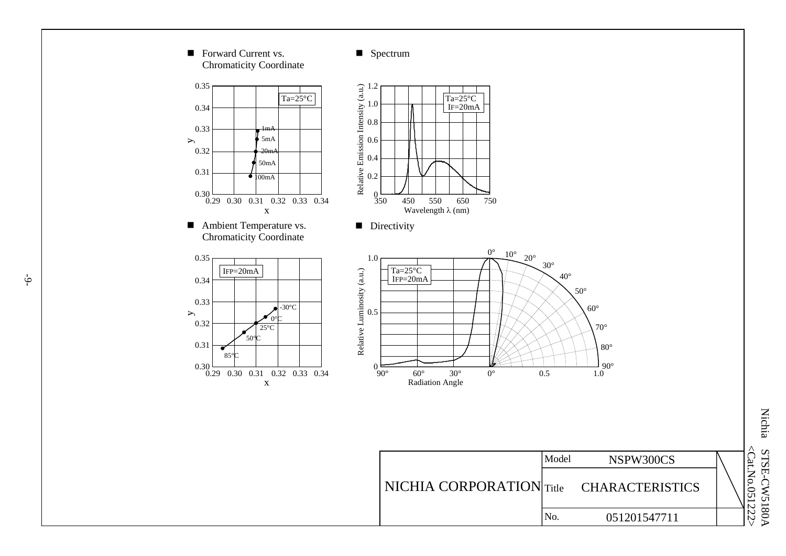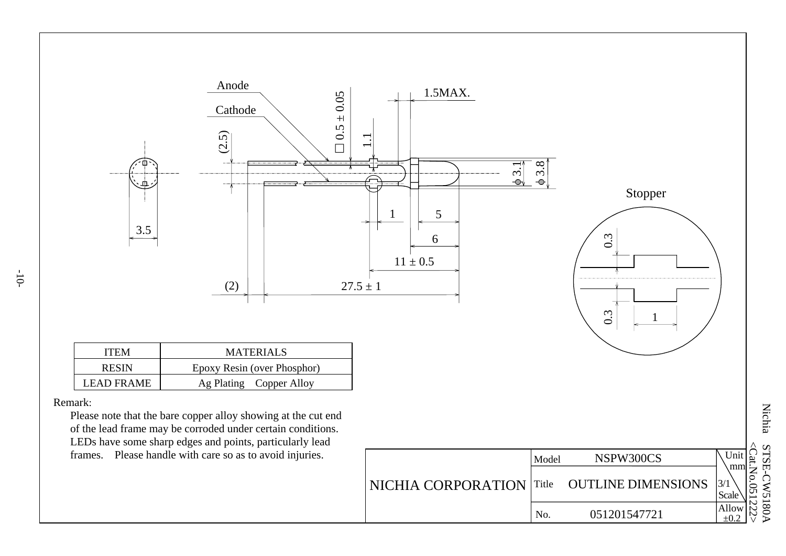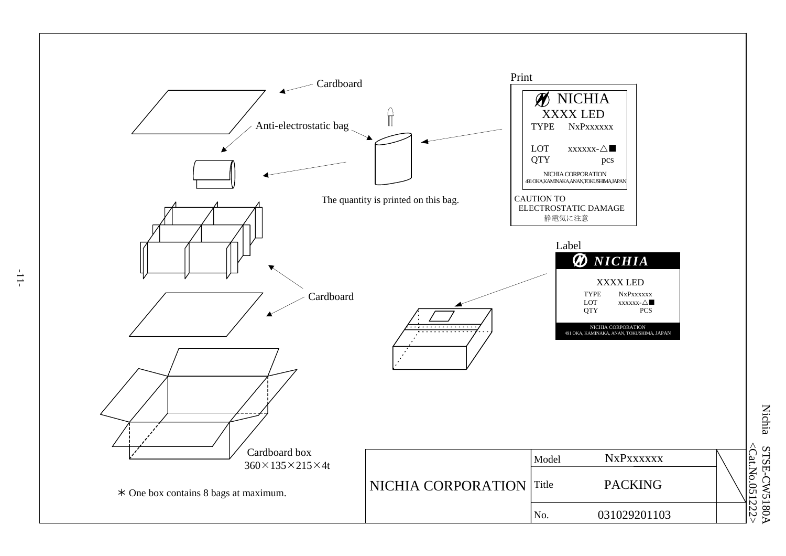

-11-

Nichia STSE-CW5180A <Cat.No.051222 STSE-CW5180A<br><Cat.No.051222>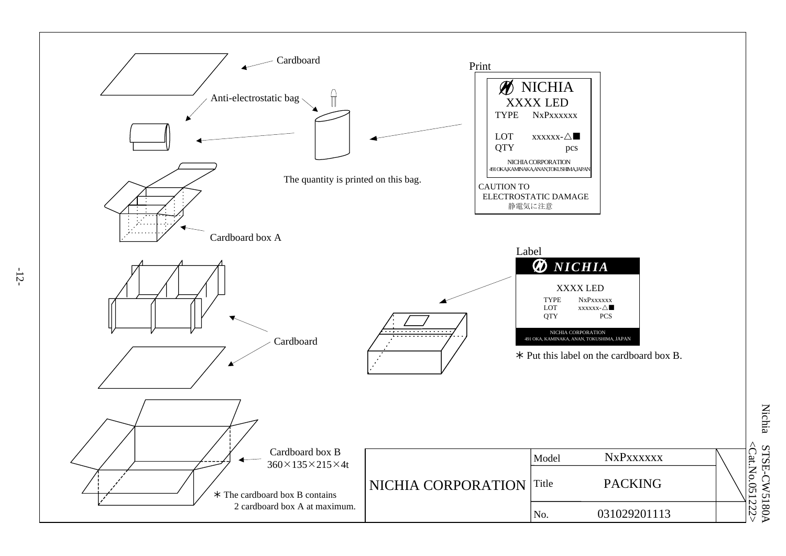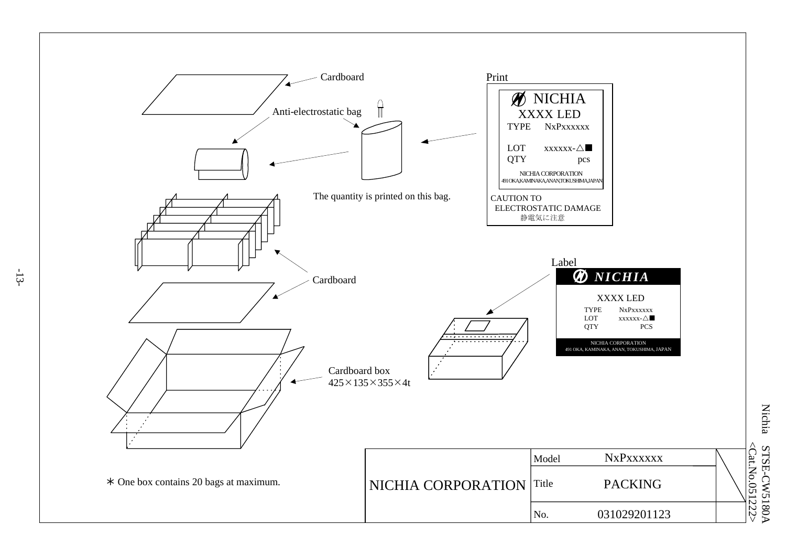

Nichia STSE-CW5180A <Cat.No.051222 STSE-CW5180A<br><Cat.No.051222>